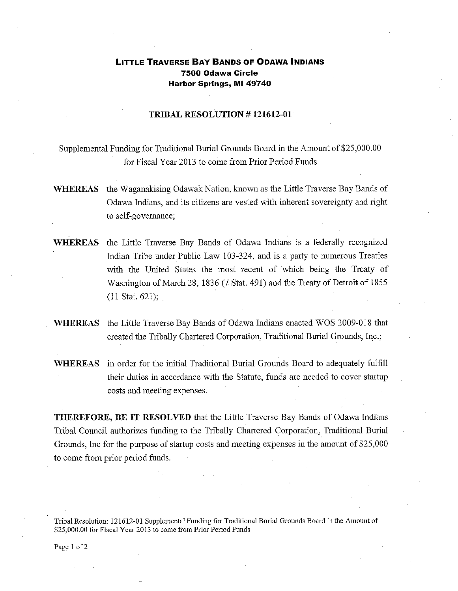## **LITTLE TRAVERSE BAY BANDS OF ODAWA INDIANS 7500 Odawa Circle Harbor Springs, MI 49740**

## **TRIBAL RESOLUTION # 121612-01**

Supplemental Funding for Traditional Burial Grounds Board in the Amount of \$25,000.00 for Fiscal Year 2013 to come from Prior Period Funds

- WHEREAS the Waganakising Odawak Nation, known as the Little Traverse Bay Bands of Odawa Indians, and its citizens are vested with inherent sovereignty and right to self-governance;
- **WHEREAS** the Little Traverse Bay Bands of Odawa Indians is a federally recognized Indian Tribe under Public Law 103-324, and is a party to numerous Treaties with the United States the most recent of which being the Treaty of Washington of March 28, 1836 (7 Stat. 491) and the Treaty of Detroit of 1855 (11 Stat. 621);
- WHEREAS the Little Traverse Bay Bands of Odawa Indians enacted WOS 2009-018 that created the Tribally Chartered Corporation, Traditional Burial Grounds, Inc.;
- WHEREAS in order for the initial Traditional Burial Grounds Board to adequately fulfill their duties in accordance with the Statute, funds are needed to cover startup costs and meeting expenses.

**THEREFORE, BE IT RESOLVED** that the Little Traverse Bay Bands of Odawa Indians Tribal Council authorizes funding to the Tribally Chartered Corporation, Traditional Burial Grounds, Inc for the purpose of startup costs and meeting expenses in the amount of \$25,000 to come from prior period funds.

Tribal Resolution: 121612-01 Supplemental Funding for Traditional Burial Grounds Board in the Amount of \$25,000.00 for Fiscal Year 2013 to come from Prior Period Funds

Page 1 of 2